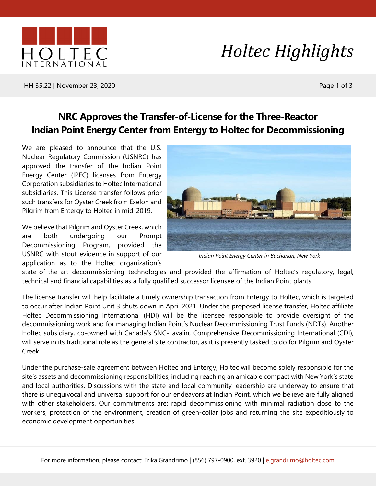

# *Holtec Highlights*

HH 35.22 | November 23, 2020 Page 1 of 3

### **NRC Approves the Transfer-of-License for the Three-Reactor Indian Point Energy Center from Entergy to Holtec for Decommissioning**

We are pleased to announce that the U.S. Nuclear Regulatory Commission (USNRC) has approved the transfer of the Indian Point Energy Center (IPEC) licenses from Entergy Corporation subsidiaries to Holtec International subsidiaries. This License transfer follows prior such transfers for Oyster Creek from Exelon and Pilgrim from Entergy to Holtec in mid-2019.

We believe that Pilgrim and Oyster Creek, which are both undergoing our Prompt Decommissioning Program, provided the USNRC with stout evidence in support of our application as to the Holtec organization's



*Indian Point Energy Center in Buchanan, New York*

state-of-the-art decommissioning technologies and provided the affirmation of Holtec's regulatory, legal, technical and financial capabilities as a fully qualified successor licensee of the Indian Point plants.

The license transfer will help facilitate a timely ownership transaction from Entergy to Holtec, which is targeted to occur after Indian Point Unit 3 shuts down in April 2021. Under the proposed license transfer, Holtec affiliate Holtec Decommissioning International (HDI) will be the licensee responsible to provide oversight of the decommissioning work and for managing Indian Point's Nuclear Decommissioning Trust Funds (NDTs). Another Holtec subsidiary, co-owned with Canada's SNC-Lavalin, Comprehensive Decommissioning International (CDI), will serve in its traditional role as the general site contractor, as it is presently tasked to do for Pilgrim and Oyster Creek.

Under the purchase-sale agreement between Holtec and Entergy, Holtec will become solely responsible for the site's assets and decommissioning responsibilities, including reaching an amicable compact with New York's state and local authorities. Discussions with the state and local community leadership are underway to ensure that there is unequivocal and universal support for our endeavors at Indian Point, which we believe are fully aligned with other stakeholders. Our commitments are: rapid decommissioning with minimal radiation dose to the workers, protection of the environment, creation of green-collar jobs and returning the site expeditiously to economic development opportunities.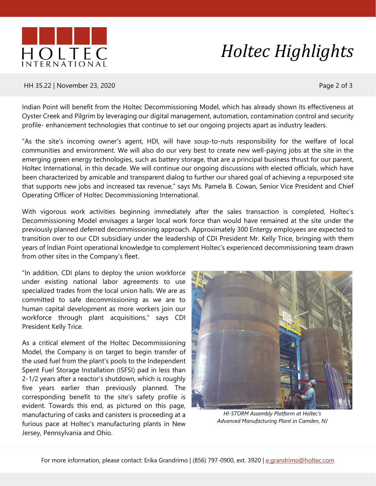

# *Holtec Highlights*

#### HH 35.22 | November 23, 2020 Page 2 of 3

Indian Point will benefit from the Holtec Decommissioning Model, which has already shown its effectiveness at Oyster Creek and Pilgrim by leveraging our digital management, automation, contamination control and security profile- enhancement technologies that continue to set our ongoing projects apart as industry leaders.

"As the site's incoming owner's agent, HDI, will have soup-to-nuts responsibility for the welfare of local communities and environment. We will also do our very best to create new well-paying jobs at the site in the emerging green energy technologies, such as battery storage, that are a principal business thrust for our parent, Holtec International, in this decade. We will continue our ongoing discussions with elected officials, which have been characterized by amicable and transparent dialog to further our shared goal of achieving a repurposed site that supports new jobs and increased tax revenue," says Ms. Pamela B. Cowan, Senior Vice President and Chief Operating Officer of Holtec Decommissioning International.

With vigorous work activities beginning immediately after the sales transaction is completed, Holtec's Decommissioning Model envisages a larger local work force than would have remained at the site under the previously planned deferred decommissioning approach. Approximately 300 Entergy employees are expected to transition over to our CDI subsidiary under the leadership of CDI President Mr. Kelly Trice, bringing with them years of Indian Point operational knowledge to complement Holtec's experienced decommissioning team drawn from other sites in the Company's fleet.

"In addition, CDI plans to deploy the union workforce under existing national labor agreements to use specialized trades from the local union halls. We are as committed to safe decommissioning as we are to human capital development as more workers join our workforce through plant acquisitions," says CDI President Kelly Trice.

As a critical element of the Holtec Decommissioning Model, the Company is on target to begin transfer of the used fuel from the plant's pools to the Independent Spent Fuel Storage Installation (ISFSI) pad in less than 2-1/2 years after a reactor's shutdown, which is roughly five years earlier than previously planned. The corresponding benefit to the site's safety profile is evident. Towards this end, as pictured on this page, manufacturing of casks and canisters is proceeding at a furious pace at Holtec's manufacturing plants in New Jersey, Pennsylvania and Ohio.



*HI-STORM Assembly Platform at Holtec's Advanced Manufacturing Plant in Camden, NJ*